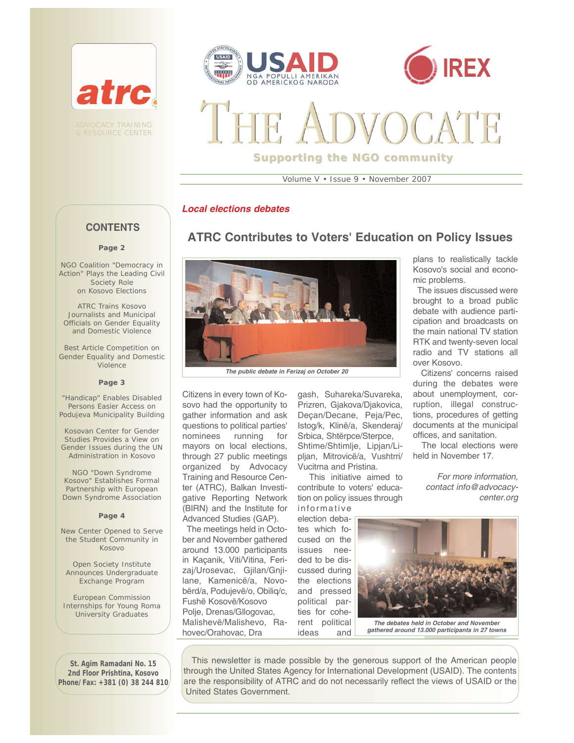





# **Supporting the NGO community**

Volume V • Issue 9 • November 2007

**ATRC Contributes to Voters' Education on Policy Issues**

#### *Local elections debates*

# **CONTENTS**

#### **Page 2**

NGO Coalition "Democracy in Action" Plays the Leading Civil Society Role on Kosovo Elections

ATRC Trains Kosovo Journalists and Municipal Officials on Gender Equality and Domestic Violence

Best Article Competition on Gender Equality and Domestic Violence

#### **Page 3**

"Handicap" Enables Disabled Persons Easier Access on Podujeva Municipality Building

Kosovan Center for Gender Studies Provides a View on Gender Issues during the UN Administration in Kosovo

NGO "Down Syndrome Kosovo" Establishes Formal Partnership with European Down Syndrome Association

#### **Page 4**

New Center Opened to Serve the Student Community in Kosovo

Open Society Institute Announces Undergraduate Exchange Program

European Commission Internships for Young Roma University Graduates

**St. Agim Ramadani No. 15 2nd Floor Prishtina, Kosovo Phone/Fax: +381 (0) 38 244 810**



Citizens in every town of Kosovo had the opportunity to gather information and ask questions to political parties' nominees running for mayors on local elections, through 27 public meetings organized by Advocacy Training and Resource Center (ATRC), Balkan Investigative Reporting Network (BIRN) and the Institute for Advanced Studies (GAP).

The meetings held in October and November gathered around 13.000 participants in Kaçanik, Viti/Vitina, Ferizaj/Urosevac, Gjilan/Gnjilane, Kamenicë/a, Novobërd/a, Podujevë/o, Obiliq/c, Fushë Kosovë/Kosovo Polje, Drenas/Gllogovac, Malishevë/Malishevo, Rahovec/Orahovac, Dra

gash, Suhareka/Suvareka, Prizren, Gjakova/Djakovica, Deçan/Decane, Peja/Pec, Istog/k, Klinë/a, Skenderaj/ Srbica, Shtërpce/Sterpce, Shtime/Shtimlje, Lipjan/Lipljan, Mitrovicë/a, Vushtrri/ Vucitrna and Pristina.

This initiative aimed to contribute to voters' education on policy issues through informative

election debates which focused on the issues needed to be discussed during the elections and pressed political parties for coherent political

ideas and

plans to realistically tackle Kosovo's social and economic problems.

The issues discussed were brought to a broad public debate with audience participation and broadcasts on the main national TV station RTK and twenty-seven local radio and TV stations all over Kosovo.

Citizens' concerns raised during the debates were about unemployment, corruption, illegal constructions, procedures of getting documents at the municipal offices, and sanitation.

The local elections were held in November 17.

> *For more information, contact info@advocacycenter.org*



*gathered around 13.000 participants in 27 towns*

This newsletter is made possible by the generous support of the American people through the United States Agency for International Development (USAID). The contents are the responsibility of ATRC and do not necessarily reflect the views of USAID or the United States Government.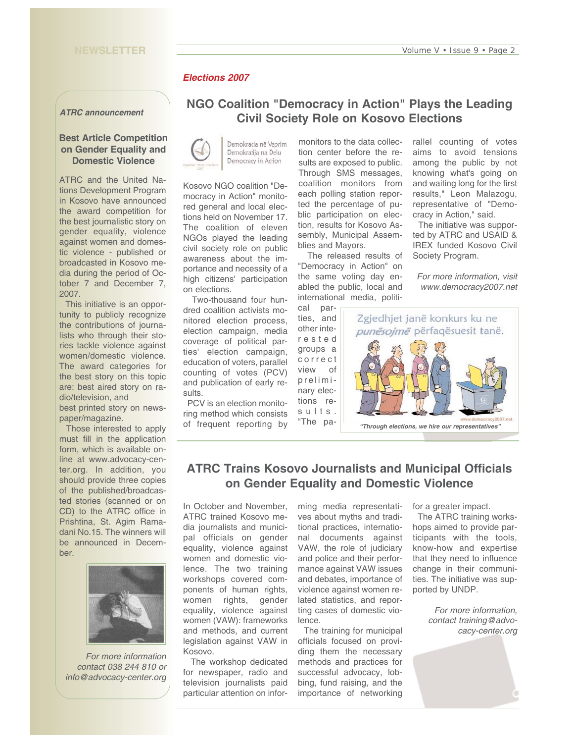#### **NEWSLETTER**

### *Elections 2007*

*ATRC announcement* 

#### **Best Article Competition on Gender Equality and Domestic Violence**

ATRC and the United Nations Development Program in Kosovo have announced the award competition for the best journalistic story on gender equality, violence against women and domestic violence - published or broadcasted in Kosovo media during the period of October 7 and December 7, 2007.

This initiative is an opportunity to publicly recognize the contributions of journalists who through their stories tackle violence against women/domestic violence. The award categories for the best story on this topic are: best aired story on radio/television, and

best printed story on newspaper/magazine.

Those interested to apply must fill in the application form, which is available online at www.advocacy-center.org. In addition, you should provide three copies of the published/broadcasted stories (scanned or on CD) to the ATRC office in Prishtina, St. Agim Ramadani No.15. The winners will be announced in December.



*For more information contact 038 244 810 or info@advocacy-center.org*

# **NGO Coalition "Democracy in Action" Plays the Leading Civil Society Role on Kosovo Elections**



Kosovo NGO coalition "Democracy in Action" monitored general and local elections held on November 17. The coalition of eleven NGOs played the leading civil society role on public awareness about the importance and necessity of a high citizens' participation on elections.

Two-thousand four hundred coalition activists monitored election process, election campaign, media coverage of political parties' election campaign, education of voters, parallel counting of votes (PCV) and publication of early results.

PCV is an election monitoring method which consists of frequent reporting by

monitors to the data collection center before the results are exposed to public. Through SMS messages, coalition monitors from each polling station reported the percentage of public participation on election, results for Kosovo Assembly, Municipal Assemblies and Mayors.

The released results of "Democracy in Action" on the same voting day enabled the public, local and international media, politi-

ties, and other interested groups a correct view of preliminary elections results. "The parallel counting of votes aims to avoid tensions among the public by not knowing what's going on and waiting long for the first results," Leon Malazogu, representative of "Democracy in Action," said.

The initiative was supported by ATRC and USAID & IREX funded Kosovo Civil Society Program.

*For more information, visit www.democracy2007.net*



# **ATRC Trains Kosovo Journalists and Municipal Officials on Gender Equality and Domestic Violence**

In October and November, ATRC trained Kosovo media journalists and municipal officials on gender equality, violence against women and domestic violence. The two training workshops covered components of human rights, women rights, gender equality, violence against women (VAW): frameworks and methods, and current legislation against VAW in Kosovo.

The workshop dedicated for newspaper, radio and television journalists paid particular attention on infor-

ming media representatives about myths and traditional practices, international documents against VAW, the role of judiciary and police and their performance against VAW issues and debates, importance of violence against women related statistics, and reporting cases of domestic violence.

The training for municipal officials focused on providing them the necessary methods and practices for successful advocacy, lobbing, fund raising, and the importance of networking

for a greater impact.

The ATRC training workshops aimed to provide participants with the tools, know-how and expertise that they need to influence change in their communities. The initiative was supported by UNDP.

> *For more information, contact training@advocacy-center.org*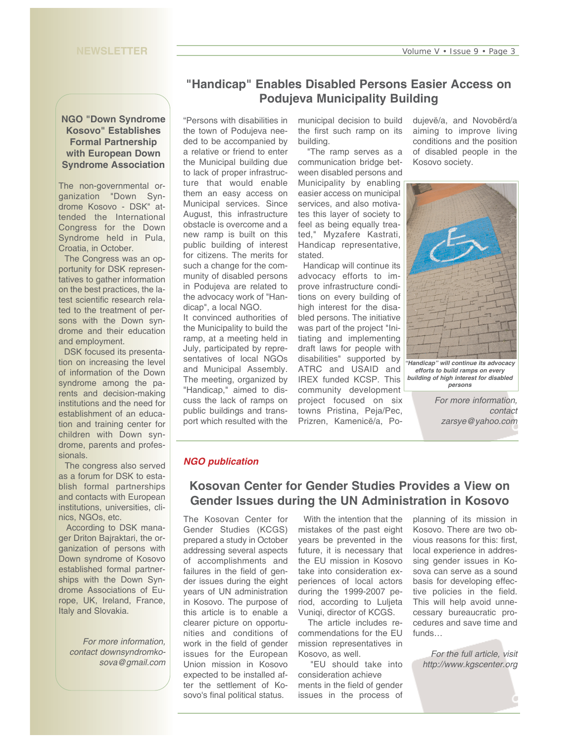#### **NGO "Down Syndrome Kosovo" Establishes Formal Partnership with European Down Syndrome Association**

The non-governmental organization "Down Syndrome Kosovo - DSK" attended the International Congress for the Down Syndrome held in Pula, Croatia, in October.

The Congress was an opportunity for DSK representatives to gather information on the best practices, the latest scientific research related to the treatment of persons with the Down syndrome and their education and employment.

DSK focused its presentation on increasing the level of information of the Down syndrome among the parents and decision-making institutions and the need for establishment of an education and training center for children with Down syndrome, parents and professionals.

The congress also served as a forum for DSK to establish formal partnerships and contacts with European institutions, universities, clinics, NGOs, etc.

According to DSK manager Driton Bajraktari, the organization of persons with Down syndrome of Kosovo established formal partnerships with the Down Syndrome Associations of Europe, UK, Ireland, France, Italy and Slovakia.

*For more information, contact downsyndromkosova@gmail.com*

# **"Handicap" Enables Disabled Persons Easier Access on Podujeva Municipality Building**

"Persons with disabilities in the town of Podujeva needed to be accompanied by a relative or friend to enter the Municipal building due to lack of proper infrastructure that would enable them an easy access on Municipal services. Since August, this infrastructure obstacle is overcome and a new ramp is built on this public building of interest for citizens. The merits for such a change for the community of disabled persons in Podujeva are related to the advocacy work of "Handicap", a local NGO.

It convinced authorities of the Municipality to build the ramp, at a meeting held in July, participated by representatives of local NGOs and Municipal Assembly. The meeting, organized by "Handicap," aimed to discuss the lack of ramps on public buildings and transport which resulted with the

municipal decision to build the first such ramp on its building.

"The ramp serves as a communication bridge between disabled persons and Municipality by enabling easier access on municipal services, and also motivates this layer of society to feel as being equally treated," Myzafere Kastrati, Handicap representative, stated.

Handicap will continue its advocacy efforts to improve infrastructure conditions on every building of high interest for the disabled persons. The initiative was part of the project "Initiating and implementing draft laws for people with disabilities" supported by ATRC and USAID and IREX funded KCSP. This community development project focused on six towns Pristina, Peja/Pec, Prizren, Kamenicë/a, Podujevë/a, and Novobërd/a aiming to improve living conditions and the position of disabled people in the Kosovo society.



*building of high interest for disabled persons*

*For more information, contact zarsye@yahoo.com*

#### *NGO publication*

# **Kosovan Center for Gender Studies Provides a View on Gender Issues during the UN Administration in Kosovo**

The Kosovan Center for Gender Studies (KCGS) prepared a study in October addressing several aspects of accomplishments and failures in the field of gender issues during the eight years of UN administration in Kosovo. The purpose of this article is to enable a clearer picture on opportunities and conditions of work in the field of gender issues for the European Union mission in Kosovo expected to be installed after the settlement of Kosovo's final political status.

With the intention that the mistakes of the past eight years be prevented in the future, it is necessary that the EU mission in Kosovo take into consideration experiences of local actors during the 1999-2007 period, according to Luljeta Vuniqi, director of KCGS.

The article includes recommendations for the EU mission representatives in Kosovo, as well.

"EU should take into consideration achieve ments in the field of gender issues in the process of

planning of its mission in Kosovo. There are two obvious reasons for this: first, local experience in addressing gender issues in Kosova can serve as a sound basis for developing effective policies in the field. This will help avoid unnecessary bureaucratic procedures and save time and funds…

*For the full article, visit http://www.kgscenter.org*